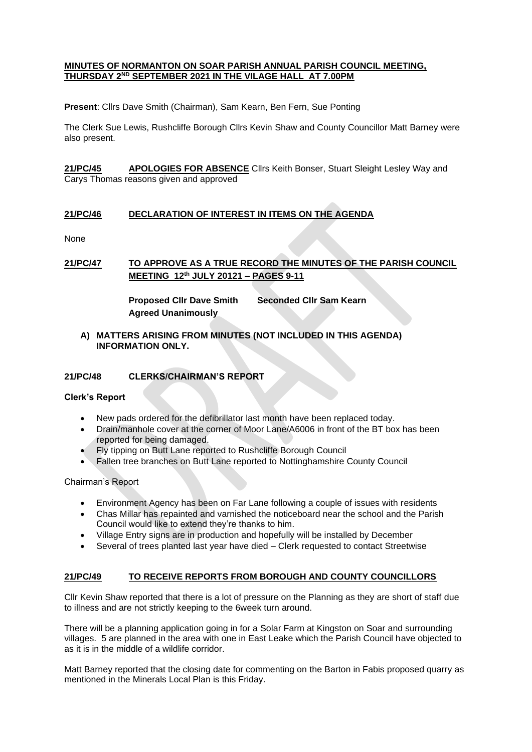### **MINUTES OF NORMANTON ON SOAR PARISH ANNUAL PARISH COUNCIL MEETING, THURSDAY 2ND SEPTEMBER 2021 IN THE VILAGE HALL AT 7.00PM**

**Present**: Cllrs Dave Smith (Chairman), Sam Kearn, Ben Fern, Sue Ponting

The Clerk Sue Lewis, Rushcliffe Borough Cllrs Kevin Shaw and County Councillor Matt Barney were also present.

**21/PC/45 APOLOGIES FOR ABSENCE** Cllrs Keith Bonser, Stuart Sleight Lesley Way and Carys Thomas reasons given and approved

# **21/PC/46 DECLARATION OF INTEREST IN ITEMS ON THE AGENDA**

None

# **21/PC/47 TO APPROVE AS A TRUE RECORD THE MINUTES OF THE PARISH COUNCIL MEETING 12th JULY 20121 – PAGES 9-11**

**Proposed Cllr Dave Smith Seconded Cllr Sam Kearn Agreed Unanimously**

### **A) MATTERS ARISING FROM MINUTES (NOT INCLUDED IN THIS AGENDA) INFORMATION ONLY.**

### **21/PC/48 CLERKS/CHAIRMAN'S REPORT**

#### **Clerk's Report**

- New pads ordered for the defibrillator last month have been replaced today.
- Drain/manhole cover at the corner of Moor Lane/A6006 in front of the BT box has been reported for being damaged.
- Fly tipping on Butt Lane reported to Rushcliffe Borough Council
- Fallen tree branches on Butt Lane reported to Nottinghamshire County Council

Chairman's Report

- Environment Agency has been on Far Lane following a couple of issues with residents
- Chas Millar has repainted and varnished the noticeboard near the school and the Parish Council would like to extend they're thanks to him.
- Village Entry signs are in production and hopefully will be installed by December
- Several of trees planted last year have died Clerk requested to contact Streetwise

# **21/PC/49 TO RECEIVE REPORTS FROM BOROUGH AND COUNTY COUNCILLORS**

Cllr Kevin Shaw reported that there is a lot of pressure on the Planning as they are short of staff due to illness and are not strictly keeping to the 6week turn around.

There will be a planning application going in for a Solar Farm at Kingston on Soar and surrounding villages. 5 are planned in the area with one in East Leake which the Parish Council have objected to as it is in the middle of a wildlife corridor.

Matt Barney reported that the closing date for commenting on the Barton in Fabis proposed quarry as mentioned in the Minerals Local Plan is this Friday.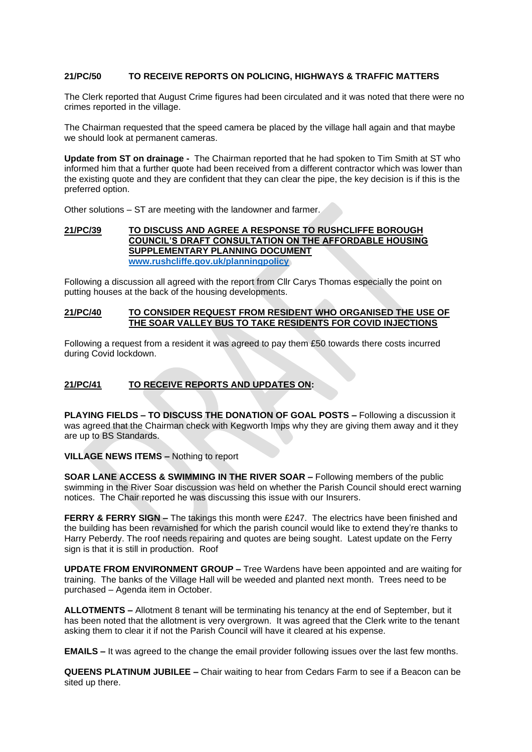### **21/PC/50 TO RECEIVE REPORTS ON POLICING, HIGHWAYS & TRAFFIC MATTERS**

The Clerk reported that August Crime figures had been circulated and it was noted that there were no crimes reported in the village.

The Chairman requested that the speed camera be placed by the village hall again and that maybe we should look at permanent cameras.

**Update from ST on drainage -** The Chairman reported that he had spoken to Tim Smith at ST who informed him that a further quote had been received from a different contractor which was lower than the existing quote and they are confident that they can clear the pipe, the key decision is if this is the preferred option.

Other solutions – ST are meeting with the landowner and farmer.

#### **21/PC/39 TO DISCUSS AND AGREE A RESPONSE TO RUSHCLIFFE BOROUGH COUNCIL'S DRAFT CONSULTATION ON THE AFFORDABLE HOUSING SUPPLEMENTARY PLANNING DOCUMENT [www.rushcliffe.gov.uk/planningpolicy](http://www.rushcliffe.gov.uk/planningpolicy)**

Following a discussion all agreed with the report from Cllr Carys Thomas especially the point on putting houses at the back of the housing developments.

### **21/PC/40 TO CONSIDER REQUEST FROM RESIDENT WHO ORGANISED THE USE OF THE SOAR VALLEY BUS TO TAKE RESIDENTS FOR COVID INJECTIONS**

Following a request from a resident it was agreed to pay them £50 towards there costs incurred during Covid lockdown.

# **21/PC/41 TO RECEIVE REPORTS AND UPDATES ON:**

**PLAYING FIELDS – TO DISCUSS THE DONATION OF GOAL POSTS –** Following a discussion it was agreed that the Chairman check with Kegworth Imps why they are giving them away and it they are up to BS Standards.

**VILLAGE NEWS ITEMS –** Nothing to report

**SOAR LANE ACCESS & SWIMMING IN THE RIVER SOAR –** Following members of the public swimming in the River Soar discussion was held on whether the Parish Council should erect warning notices. The Chair reported he was discussing this issue with our Insurers.

**FERRY & FERRY SIGN -** The takings this month were £247. The electrics have been finished and the building has been revarnished for which the parish council would like to extend they're thanks to Harry Peberdy. The roof needs repairing and quotes are being sought. Latest update on the Ferry sign is that it is still in production. Roof

**UPDATE FROM ENVIRONMENT GROUP –** Tree Wardens have been appointed and are waiting for training. The banks of the Village Hall will be weeded and planted next month. Trees need to be purchased – Agenda item in October.

**ALLOTMENTS –** Allotment 8 tenant will be terminating his tenancy at the end of September, but it has been noted that the allotment is very overgrown. It was agreed that the Clerk write to the tenant asking them to clear it if not the Parish Council will have it cleared at his expense.

**EMAILS –** It was agreed to the change the email provider following issues over the last few months.

**QUEENS PLATINUM JUBILEE –** Chair waiting to hear from Cedars Farm to see if a Beacon can be sited up there.